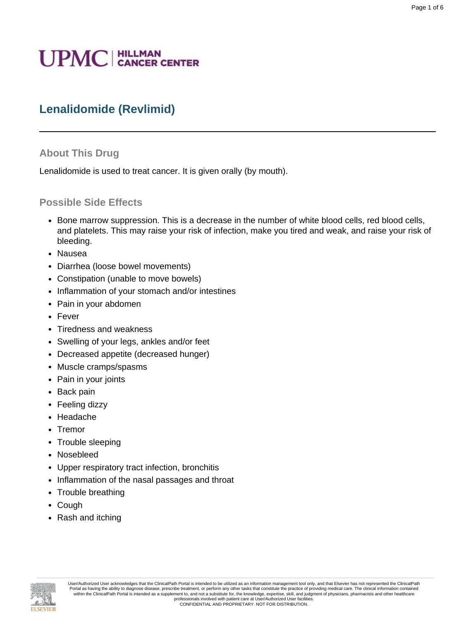# **UPMC** | HILLMAN

## **Lenalidomide (Revlimid)**

#### **About This Drug**

Lenalidomide is used to treat cancer. It is given orally (by mouth).

#### **Possible Side Effects**

- Bone marrow suppression. This is a decrease in the number of white blood cells, red blood cells, and platelets. This may raise your risk of infection, make you tired and weak, and raise your risk of bleeding.
- Nausea
- Diarrhea (loose bowel movements)
- Constipation (unable to move bowels)
- Inflammation of your stomach and/or intestines
- Pain in your abdomen
- Fever
- Tiredness and weakness
- Swelling of your legs, ankles and/or feet
- Decreased appetite (decreased hunger)
- Muscle cramps/spasms
- Pain in your joints
- Back pain
- Feeling dizzy
- Headache
- Tremor
- Trouble sleeping
- Nosebleed
- Upper respiratory tract infection, bronchitis
- Inflammation of the nasal passages and throat
- Trouble breathing
- Cough
- Rash and itching

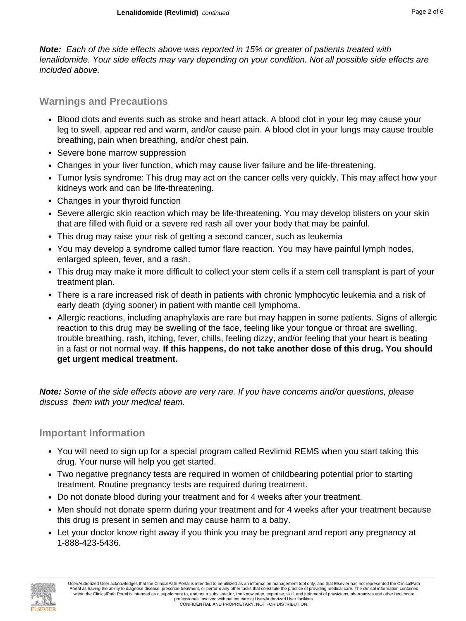**Note:** Each of the side effects above was reported in 15% or greater of patients treated with lenalidomide. Your side effects may vary depending on your condition. Not all possible side effects are included above.

## **Warnings and Precautions**

- Blood clots and events such as stroke and heart attack. A blood clot in your leg may cause your leg to swell, appear red and warm, and/or cause pain. A blood clot in your lungs may cause trouble breathing, pain when breathing, and/or chest pain.
- Severe bone marrow suppression
- Changes in your liver function, which may cause liver failure and be life-threatening.
- Tumor lysis syndrome: This drug may act on the cancer cells very quickly. This may affect how your kidneys work and can be life-threatening.
- Changes in your thyroid function
- Severe allergic skin reaction which may be life-threatening. You may develop blisters on your skin that are filled with fluid or a severe red rash all over your body that may be painful.
- This drug may raise your risk of getting a second cancer, such as leukemia
- You may develop a syndrome called tumor flare reaction. You may have painful lymph nodes, enlarged spleen, fever, and a rash.
- This drug may make it more difficult to collect your stem cells if a stem cell transplant is part of your treatment plan.
- There is a rare increased risk of death in patients with chronic lymphocytic leukemia and a risk of early death (dying sooner) in patient with mantle cell lymphoma.
- Allergic reactions, including anaphylaxis are rare but may happen in some patients. Signs of allergic reaction to this drug may be swelling of the face, feeling like your tongue or throat are swelling, trouble breathing, rash, itching, fever, chills, feeling dizzy, and/or feeling that your heart is beating in a fast or not normal way. **If this happens, do not take another dose of this drug. You should get urgent medical treatment.**

**Note:** Some of the side effects above are very rare. If you have concerns and/or questions, please discuss them with your medical team.

## **Important Information**

- You will need to sign up for a special program called Revlimid REMS when you start taking this drug. Your nurse will help you get started.
- Two negative pregnancy tests are required in women of childbearing potential prior to starting treatment. Routine pregnancy tests are required during treatment.
- Do not donate blood during your treatment and for 4 weeks after your treatment.
- Men should not donate sperm during your treatment and for 4 weeks after your treatment because this drug is present in semen and may cause harm to a baby.
- Let your doctor know right away if you think you may be pregnant and report any pregnancy at 1-888-423-5436.

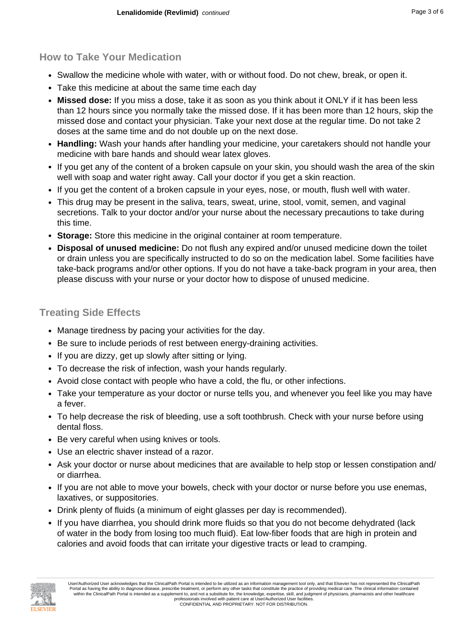## **How to Take Your Medication**

- Swallow the medicine whole with water, with or without food. Do not chew, break, or open it.
- Take this medicine at about the same time each day
- **Missed dose:** If you miss a dose, take it as soon as you think about it ONLY if it has been less than 12 hours since you normally take the missed dose. If it has been more than 12 hours, skip the missed dose and contact your physician. Take your next dose at the regular time. Do not take 2 doses at the same time and do not double up on the next dose.
- **Handling:** Wash your hands after handling your medicine, your caretakers should not handle your medicine with bare hands and should wear latex gloves.
- If you get any of the content of a broken capsule on your skin, you should wash the area of the skin well with soap and water right away. Call your doctor if you get a skin reaction.
- If you get the content of a broken capsule in your eyes, nose, or mouth, flush well with water.
- This drug may be present in the saliva, tears, sweat, urine, stool, vomit, semen, and vaginal secretions. Talk to your doctor and/or your nurse about the necessary precautions to take during this time.
- **Storage:** Store this medicine in the original container at room temperature.
- **Disposal of unused medicine:** Do not flush any expired and/or unused medicine down the toilet or drain unless you are specifically instructed to do so on the medication label. Some facilities have take-back programs and/or other options. If you do not have a take-back program in your area, then please discuss with your nurse or your doctor how to dispose of unused medicine.

## **Treating Side Effects**

- Manage tiredness by pacing your activities for the day.
- Be sure to include periods of rest between energy-draining activities.
- If you are dizzy, get up slowly after sitting or lying.
- To decrease the risk of infection, wash your hands regularly.
- Avoid close contact with people who have a cold, the flu, or other infections.
- Take your temperature as your doctor or nurse tells you, and whenever you feel like you may have a fever.
- To help decrease the risk of bleeding, use a soft toothbrush. Check with your nurse before using dental floss.
- Be very careful when using knives or tools.
- Use an electric shaver instead of a razor.
- Ask your doctor or nurse about medicines that are available to help stop or lessen constipation and/ or diarrhea.
- If you are not able to move your bowels, check with your doctor or nurse before you use enemas, laxatives, or suppositories.
- Drink plenty of fluids (a minimum of eight glasses per day is recommended).
- If you have diarrhea, you should drink more fluids so that you do not become dehydrated (lack of water in the body from losing too much fluid). Eat low-fiber foods that are high in protein and calories and avoid foods that can irritate your digestive tracts or lead to cramping.

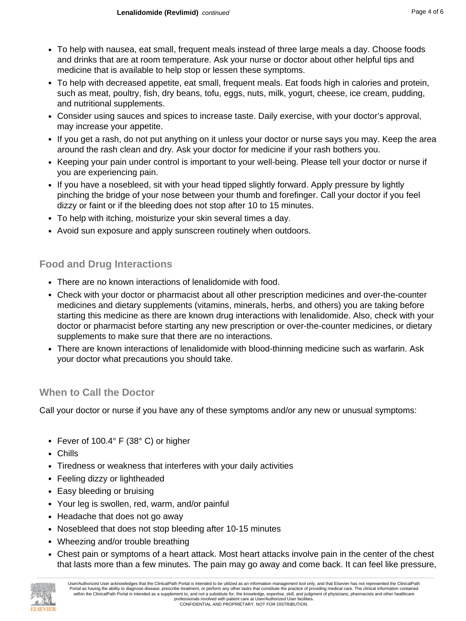- To help with nausea, eat small, frequent meals instead of three large meals a day. Choose foods and drinks that are at room temperature. Ask your nurse or doctor about other helpful tips and medicine that is available to help stop or lessen these symptoms.
- To help with decreased appetite, eat small, frequent meals. Eat foods high in calories and protein, such as meat, poultry, fish, dry beans, tofu, eggs, nuts, milk, yogurt, cheese, ice cream, pudding, and nutritional supplements.
- Consider using sauces and spices to increase taste. Daily exercise, with your doctor's approval, may increase your appetite.
- If you get a rash, do not put anything on it unless your doctor or nurse says you may. Keep the area around the rash clean and dry. Ask your doctor for medicine if your rash bothers you.
- Keeping your pain under control is important to your well-being. Please tell your doctor or nurse if you are experiencing pain.
- If you have a nosebleed, sit with your head tipped slightly forward. Apply pressure by lightly pinching the bridge of your nose between your thumb and forefinger. Call your doctor if you feel dizzy or faint or if the bleeding does not stop after 10 to 15 minutes.
- To help with itching, moisturize your skin several times a day.
- Avoid sun exposure and apply sunscreen routinely when outdoors.

## **Food and Drug Interactions**

- There are no known interactions of lenalidomide with food.
- Check with your doctor or pharmacist about all other prescription medicines and over-the-counter medicines and dietary supplements (vitamins, minerals, herbs, and others) you are taking before starting this medicine as there are known drug interactions with lenalidomide. Also, check with your doctor or pharmacist before starting any new prescription or over-the-counter medicines, or dietary supplements to make sure that there are no interactions.
- There are known interactions of lenalidomide with blood-thinning medicine such as warfarin. Ask your doctor what precautions you should take.

### **When to Call the Doctor**

Call your doctor or nurse if you have any of these symptoms and/or any new or unusual symptoms:

- Fever of 100.4° F (38° C) or higher
- Chills
- Tiredness or weakness that interferes with your daily activities
- Feeling dizzy or lightheaded
- Easy bleeding or bruising
- Your leg is swollen, red, warm, and/or painful
- Headache that does not go away
- Nosebleed that does not stop bleeding after 10-15 minutes
- Wheezing and/or trouble breathing
- Chest pain or symptoms of a heart attack. Most heart attacks involve pain in the center of the chest that lasts more than a few minutes. The pain may go away and come back. It can feel like pressure,

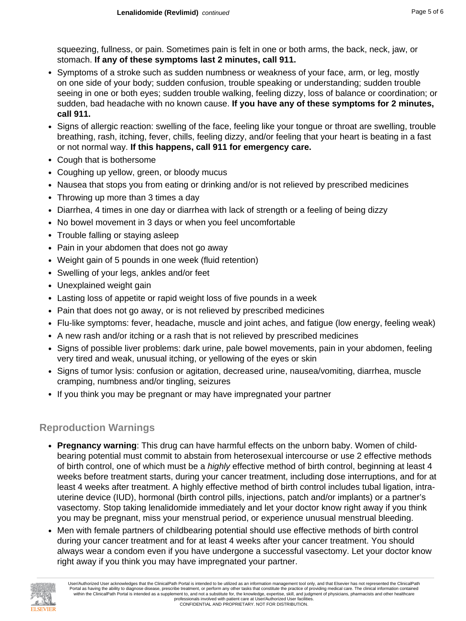squeezing, fullness, or pain. Sometimes pain is felt in one or both arms, the back, neck, jaw, or stomach. **If any of these symptoms last 2 minutes, call 911.**

- Symptoms of a stroke such as sudden numbness or weakness of your face, arm, or leg, mostly on one side of your body; sudden confusion, trouble speaking or understanding; sudden trouble seeing in one or both eyes; sudden trouble walking, feeling dizzy, loss of balance or coordination; or sudden, bad headache with no known cause. **If you have any of these symptoms for 2 minutes, call 911.**
- Signs of allergic reaction: swelling of the face, feeling like your tongue or throat are swelling, trouble breathing, rash, itching, fever, chills, feeling dizzy, and/or feeling that your heart is beating in a fast or not normal way. **If this happens, call 911 for emergency care.**
- Cough that is bothersome
- Coughing up yellow, green, or bloody mucus
- Nausea that stops you from eating or drinking and/or is not relieved by prescribed medicines
- Throwing up more than 3 times a day
- Diarrhea, 4 times in one day or diarrhea with lack of strength or a feeling of being dizzy
- No bowel movement in 3 days or when you feel uncomfortable
- Trouble falling or staying asleep
- Pain in your abdomen that does not go away
- Weight gain of 5 pounds in one week (fluid retention)
- Swelling of your legs, ankles and/or feet
- Unexplained weight gain
- Lasting loss of appetite or rapid weight loss of five pounds in a week
- Pain that does not go away, or is not relieved by prescribed medicines
- Flu-like symptoms: fever, headache, muscle and joint aches, and fatigue (low energy, feeling weak)
- A new rash and/or itching or a rash that is not relieved by prescribed medicines
- Signs of possible liver problems: dark urine, pale bowel movements, pain in your abdomen, feeling very tired and weak, unusual itching, or yellowing of the eyes or skin
- Signs of tumor lysis: confusion or agitation, decreased urine, nausea/vomiting, diarrhea, muscle cramping, numbness and/or tingling, seizures
- If you think you may be pregnant or may have impregnated your partner

## **Reproduction Warnings**

- **Pregnancy warning**: This drug can have harmful effects on the unborn baby. Women of childbearing potential must commit to abstain from heterosexual intercourse or use 2 effective methods of birth control, one of which must be a *highly* effective method of birth control, beginning at least 4 weeks before treatment starts, during your cancer treatment, including dose interruptions, and for at least 4 weeks after treatment. A highly effective method of birth control includes tubal ligation, intrauterine device (IUD), hormonal (birth control pills, injections, patch and/or implants) or a partner's vasectomy. Stop taking lenalidomide immediately and let your doctor know right away if you think you may be pregnant, miss your menstrual period, or experience unusual menstrual bleeding.
- Men with female partners of childbearing potential should use effective methods of birth control during your cancer treatment and for at least 4 weeks after your cancer treatment. You should always wear a condom even if you have undergone a successful vasectomy. Let your doctor know right away if you think you may have impregnated your partner.